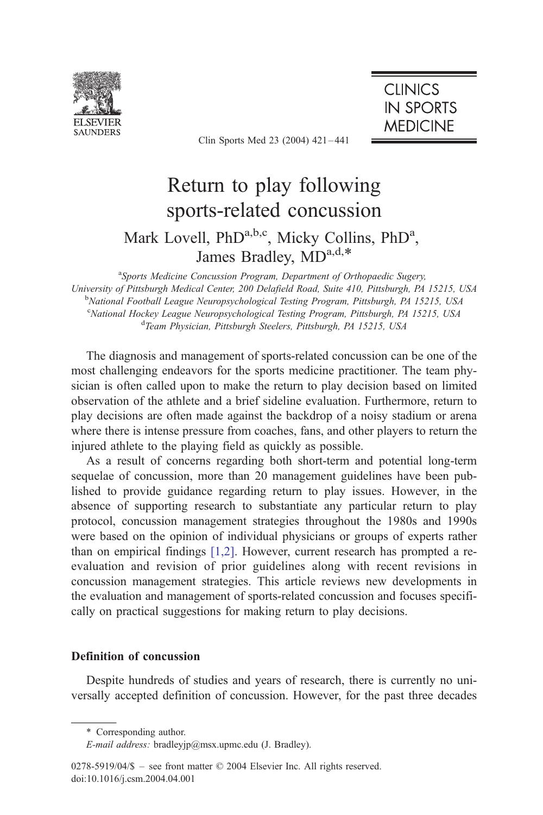

Clin Sports Med 23 (2004) 421 – 441

# **CLINICS IN SPORTS MFDICINF**

# Return to play following sports-related concussion Mark Lovell, PhD<sup>a,b,c</sup>, Micky Collins, PhD<sup>a</sup>, James Bradley, MD<sup>a,d,\*</sup>

<sup>a</sup>Sports Medicine Concussion Program, Department of Orthopaedic Sugery, University of Pittsburgh Medical Center, 200 Delafield Road, Suite 410, Pittsburgh, PA 15215, USA **b**National Football League Neuropsychological Testing Program, Pittsburgh, PA 15215, USA <sup>c</sup>National Hockey League Neuropsychological Testing Program, Pittsburgh, PA 15215, USA<br><sup>d</sup>Team Physician, Pittsburgh Steelers, Pittsburgh, PA 15215, USA <sup>d</sup>Team Physician, Pittsburgh Steelers, Pittsburgh, PA 15215, USA

The diagnosis and management of sports-related concussion can be one of the most challenging endeavors for the sports medicine practitioner. The team physician is often called upon to make the return to play decision based on limited observation of the athlete and a brief sideline evaluation. Furthermore, return to play decisions are often made against the backdrop of a noisy stadium or arena where there is intense pressure from coaches, fans, and other players to return the injured athlete to the playing field as quickly as possible.

As a result of concerns regarding both short-term and potential long-term sequelae of concussion, more than 20 management guidelines have been published to provide guidance regarding return to play issues. However, in the absence of supporting research to substantiate any particular return to play protocol, concussion management strategies throughout the 1980s and 1990s were based on the opinion of individual physicians or groups of experts rather than on empirical findings [\[1,2\].](#page-19-0) However, current research has prompted a reevaluation and revision of prior guidelines along with recent revisions in concussion management strategies. This article reviews new developments in the evaluation and management of sports-related concussion and focuses specifically on practical suggestions for making return to play decisions.

# Definition of concussion

Despite hundreds of studies and years of research, there is currently no universally accepted definition of concussion. However, for the past three decades

<sup>\*</sup> Corresponding author.

E-mail address: bradleyjp@msx.upmc.edu (J. Bradley).

 $0278-5919/04/\$$  – see front matter  $\degree$  2004 Elsevier Inc. All rights reserved. doi:10.1016/j.csm.2004.04.001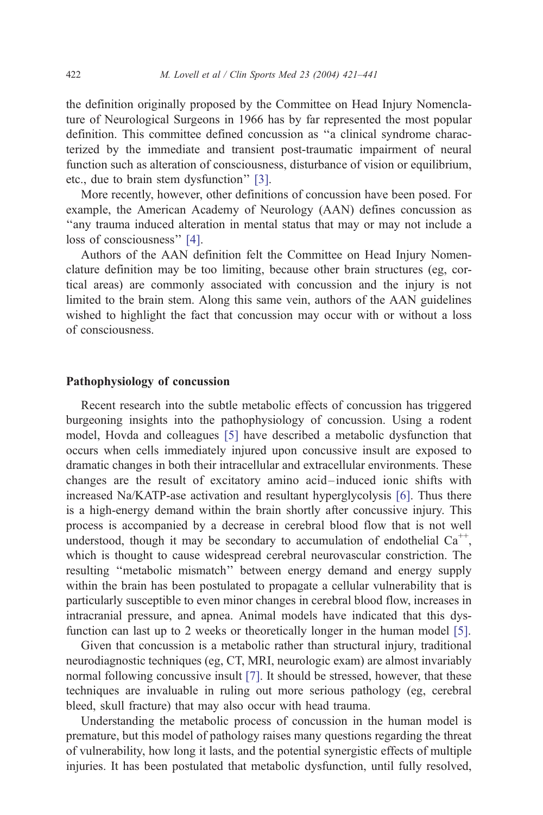the definition originally proposed by the Committee on Head Injury Nomenclature of Neurological Surgeons in 1966 has by far represented the most popular definition. This committee defined concussion as ''a clinical syndrome characterized by the immediate and transient post-traumatic impairment of neural function such as alteration of consciousness, disturbance of vision or equilibrium, etc., due to brain stem dysfunction'' [\[3\].](#page-19-0)

More recently, however, other definitions of concussion have been posed. For example, the American Academy of Neurology (AAN) defines concussion as ''any trauma induced alteration in mental status that may or may not include a loss of consciousness" [\[4\].](#page-19-0)

Authors of the AAN definition felt the Committee on Head Injury Nomenclature definition may be too limiting, because other brain structures (eg, cortical areas) are commonly associated with concussion and the injury is not limited to the brain stem. Along this same vein, authors of the AAN guidelines wished to highlight the fact that concussion may occur with or without a loss of consciousness.

#### Pathophysiology of concussion

Recent research into the subtle metabolic effects of concussion has triggered burgeoning insights into the pathophysiology of concussion. Using a rodent model, Hovda and colleagues [\[5\]](#page-19-0) have described a metabolic dysfunction that occurs when cells immediately injured upon concussive insult are exposed to dramatic changes in both their intracellular and extracellular environments. These changes are the result of excitatory amino acid –induced ionic shifts with increased Na/KATP-ase activation and resultant hyperglycolysis [\[6\].](#page-19-0) Thus there is a high-energy demand within the brain shortly after concussive injury. This process is accompanied by a decrease in cerebral blood flow that is not well understood, though it may be secondary to accumulation of endothelial  $Ca^{++}$ , which is thought to cause widespread cerebral neurovascular constriction. The resulting ''metabolic mismatch'' between energy demand and energy supply within the brain has been postulated to propagate a cellular vulnerability that is particularly susceptible to even minor changes in cerebral blood flow, increases in intracranial pressure, and apnea. Animal models have indicated that this dysfunction can last up to 2 weeks or theoretically longer in the human model [\[5\].](#page-19-0)

Given that concussion is a metabolic rather than structural injury, traditional neurodiagnostic techniques (eg, CT, MRI, neurologic exam) are almost invariably normal following concussive insult [\[7\].](#page-19-0) It should be stressed, however, that these techniques are invaluable in ruling out more serious pathology (eg, cerebral bleed, skull fracture) that may also occur with head trauma.

Understanding the metabolic process of concussion in the human model is premature, but this model of pathology raises many questions regarding the threat of vulnerability, how long it lasts, and the potential synergistic effects of multiple injuries. It has been postulated that metabolic dysfunction, until fully resolved,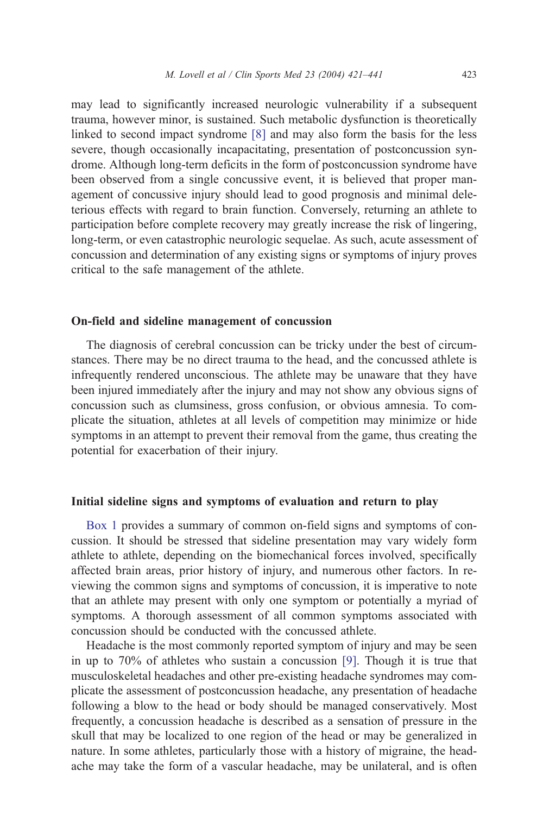may lead to significantly increased neurologic vulnerability if a subsequent trauma, however minor, is sustained. Such metabolic dysfunction is theoretically linked to second impact syndrome [\[8\]](#page-19-0) and may also form the basis for the less severe, though occasionally incapacitating, presentation of postconcussion syndrome. Although long-term deficits in the form of postconcussion syndrome have been observed from a single concussive event, it is believed that proper management of concussive injury should lead to good prognosis and minimal deleterious effects with regard to brain function. Conversely, returning an athlete to participation before complete recovery may greatly increase the risk of lingering, long-term, or even catastrophic neurologic sequelae. As such, acute assessment of concussion and determination of any existing signs or symptoms of injury proves critical to the safe management of the athlete.

#### On-field and sideline management of concussion

The diagnosis of cerebral concussion can be tricky under the best of circumstances. There may be no direct trauma to the head, and the concussed athlete is infrequently rendered unconscious. The athlete may be unaware that they have been injured immediately after the injury and may not show any obvious signs of concussion such as clumsiness, gross confusion, or obvious amnesia. To complicate the situation, athletes at all levels of competition may minimize or hide symptoms in an attempt to prevent their removal from the game, thus creating the potential for exacerbation of their injury.

#### Initial sideline signs and symptoms of evaluation and return to play

[Box 1](#page-3-0) provides a summary of common on-field signs and symptoms of concussion. It should be stressed that sideline presentation may vary widely form athlete to athlete, depending on the biomechanical forces involved, specifically affected brain areas, prior history of injury, and numerous other factors. In reviewing the common signs and symptoms of concussion, it is imperative to note that an athlete may present with only one symptom or potentially a myriad of symptoms. A thorough assessment of all common symptoms associated with concussion should be conducted with the concussed athlete.

Headache is the most commonly reported symptom of injury and may be seen in up to 70% of athletes who sustain a concussion [\[9\].](#page-19-0) Though it is true that musculoskeletal headaches and other pre-existing headache syndromes may complicate the assessment of postconcussion headache, any presentation of headache following a blow to the head or body should be managed conservatively. Most frequently, a concussion headache is described as a sensation of pressure in the skull that may be localized to one region of the head or may be generalized in nature. In some athletes, particularly those with a history of migraine, the headache may take the form of a vascular headache, may be unilateral, and is often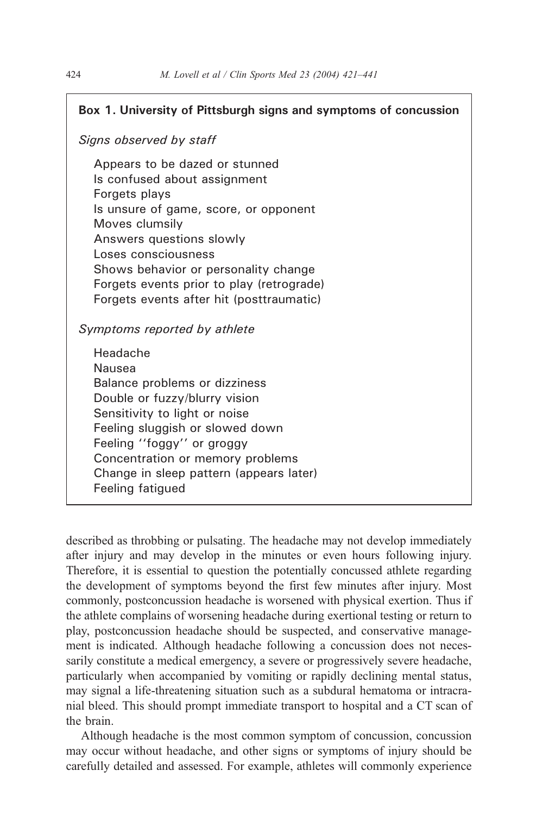<span id="page-3-0"></span>

| Box 1. University of Pittsburgh signs and symptoms of concussion                                                                                                                                                                                                                                                               |
|--------------------------------------------------------------------------------------------------------------------------------------------------------------------------------------------------------------------------------------------------------------------------------------------------------------------------------|
| Signs observed by staff                                                                                                                                                                                                                                                                                                        |
| Appears to be dazed or stunned<br>Is confused about assignment<br>Forgets plays<br>Is unsure of game, score, or opponent<br>Moves clumsily<br>Answers questions slowly<br>Loses consciousness<br>Shows behavior or personality change<br>Forgets events prior to play (retrograde)<br>Forgets events after hit (posttraumatic) |
| Symptoms reported by athlete                                                                                                                                                                                                                                                                                                   |
| Headache<br>Nausea<br>Balance problems or dizziness<br>Double or fuzzy/blurry vision<br>Sensitivity to light or noise<br>Feeling sluggish or slowed down<br>Feeling "foggy" or groggy<br>Concentration or memory problems<br>Change in sleep pattern (appears later)<br>Feeling fatiqued                                       |

described as throbbing or pulsating. The headache may not develop immediately after injury and may develop in the minutes or even hours following injury. Therefore, it is essential to question the potentially concussed athlete regarding the development of symptoms beyond the first few minutes after injury. Most commonly, postconcussion headache is worsened with physical exertion. Thus if the athlete complains of worsening headache during exertional testing or return to play, postconcussion headache should be suspected, and conservative management is indicated. Although headache following a concussion does not necessarily constitute a medical emergency, a severe or progressively severe headache, particularly when accompanied by vomiting or rapidly declining mental status, may signal a life-threatening situation such as a subdural hematoma or intracranial bleed. This should prompt immediate transport to hospital and a CT scan of the brain.

Although headache is the most common symptom of concussion, concussion may occur without headache, and other signs or symptoms of injury should be carefully detailed and assessed. For example, athletes will commonly experience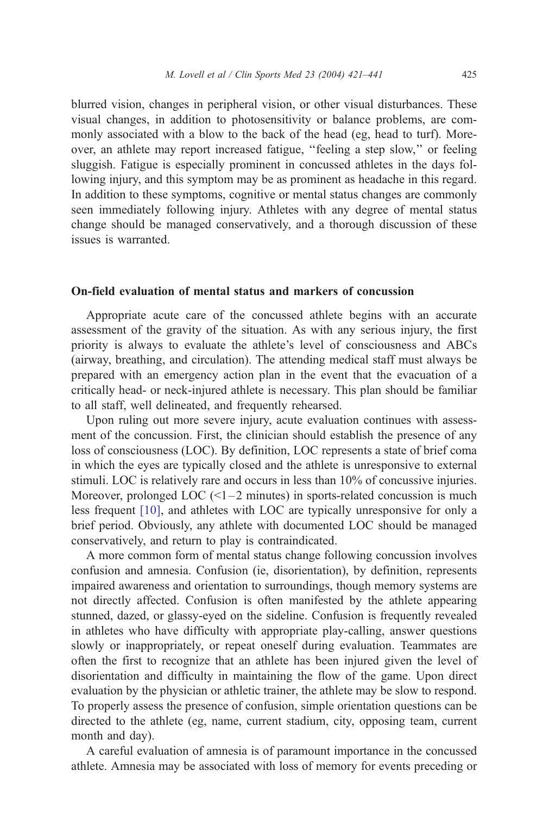blurred vision, changes in peripheral vision, or other visual disturbances. These visual changes, in addition to photosensitivity or balance problems, are commonly associated with a blow to the back of the head (eg, head to turf). Moreover, an athlete may report increased fatigue, ''feeling a step slow,'' or feeling sluggish. Fatigue is especially prominent in concussed athletes in the days following injury, and this symptom may be as prominent as headache in this regard. In addition to these symptoms, cognitive or mental status changes are commonly seen immediately following injury. Athletes with any degree of mental status change should be managed conservatively, and a thorough discussion of these issues is warranted.

#### On-field evaluation of mental status and markers of concussion

Appropriate acute care of the concussed athlete begins with an accurate assessment of the gravity of the situation. As with any serious injury, the first priority is always to evaluate the athlete's level of consciousness and ABCs (airway, breathing, and circulation). The attending medical staff must always be prepared with an emergency action plan in the event that the evacuation of a critically head- or neck-injured athlete is necessary. This plan should be familiar to all staff, well delineated, and frequently rehearsed.

Upon ruling out more severe injury, acute evaluation continues with assessment of the concussion. First, the clinician should establish the presence of any loss of consciousness (LOC). By definition, LOC represents a state of brief coma in which the eyes are typically closed and the athlete is unresponsive to external stimuli. LOC is relatively rare and occurs in less than 10% of concussive injuries. Moreover, prolonged LOC  $\leq$  1 – 2 minutes) in sports-related concussion is much less frequent [\[10\],](#page-19-0) and athletes with LOC are typically unresponsive for only a brief period. Obviously, any athlete with documented LOC should be managed conservatively, and return to play is contraindicated.

A more common form of mental status change following concussion involves confusion and amnesia. Confusion (ie, disorientation), by definition, represents impaired awareness and orientation to surroundings, though memory systems are not directly affected. Confusion is often manifested by the athlete appearing stunned, dazed, or glassy-eyed on the sideline. Confusion is frequently revealed in athletes who have difficulty with appropriate play-calling, answer questions slowly or inappropriately, or repeat oneself during evaluation. Teammates are often the first to recognize that an athlete has been injured given the level of disorientation and difficulty in maintaining the flow of the game. Upon direct evaluation by the physician or athletic trainer, the athlete may be slow to respond. To properly assess the presence of confusion, simple orientation questions can be directed to the athlete (eg, name, current stadium, city, opposing team, current month and day).

A careful evaluation of amnesia is of paramount importance in the concussed athlete. Amnesia may be associated with loss of memory for events preceding or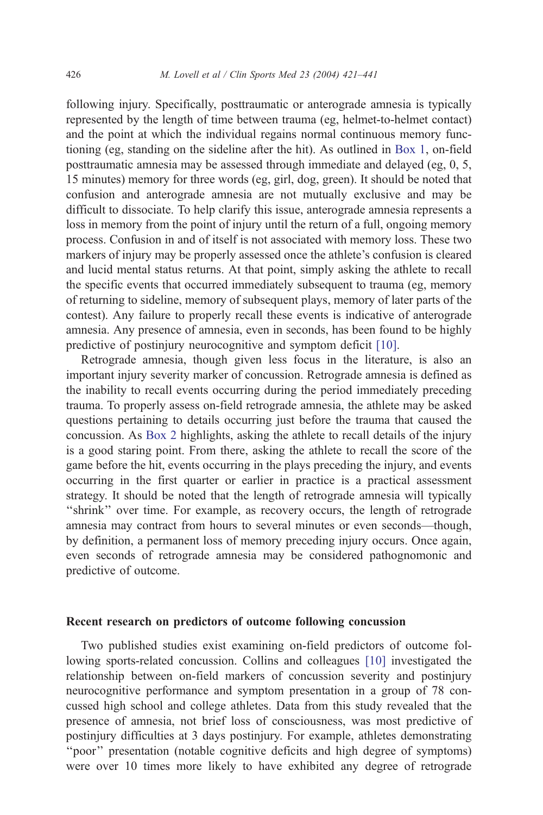following injury. Specifically, posttraumatic or anterograde amnesia is typically represented by the length of time between trauma (eg, helmet-to-helmet contact) and the point at which the individual regains normal continuous memory functioning (eg, standing on the sideline after the hit). As outlined in [Box 1,](#page-3-0) on-field posttraumatic amnesia may be assessed through immediate and delayed (eg, 0, 5, 15 minutes) memory for three words (eg, girl, dog, green). It should be noted that confusion and anterograde amnesia are not mutually exclusive and may be difficult to dissociate. To help clarify this issue, anterograde amnesia represents a loss in memory from the point of injury until the return of a full, ongoing memory process. Confusion in and of itself is not associated with memory loss. These two markers of injury may be properly assessed once the athlete's confusion is cleared and lucid mental status returns. At that point, simply asking the athlete to recall the specific events that occurred immediately subsequent to trauma (eg, memory of returning to sideline, memory of subsequent plays, memory of later parts of the contest). Any failure to properly recall these events is indicative of anterograde amnesia. Any presence of amnesia, even in seconds, has been found to be highly predictive of postinjury neurocognitive and symptom deficit [\[10\].](#page-19-0)

Retrograde amnesia, though given less focus in the literature, is also an important injury severity marker of concussion. Retrograde amnesia is defined as the inability to recall events occurring during the period immediately preceding trauma. To properly assess on-field retrograde amnesia, the athlete may be asked questions pertaining to details occurring just before the trauma that caused the concussion. As [Box 2](#page-6-0) highlights, asking the athlete to recall details of the injury is a good staring point. From there, asking the athlete to recall the score of the game before the hit, events occurring in the plays preceding the injury, and events occurring in the first quarter or earlier in practice is a practical assessment strategy. It should be noted that the length of retrograde amnesia will typically "shrink" over time. For example, as recovery occurs, the length of retrograde amnesia may contract from hours to several minutes or even seconds—though, by definition, a permanent loss of memory preceding injury occurs. Once again, even seconds of retrograde amnesia may be considered pathognomonic and predictive of outcome.

#### Recent research on predictors of outcome following concussion

Two published studies exist examining on-field predictors of outcome following sports-related concussion. Collins and colleagues [\[10\]](#page-19-0) investigated the relationship between on-field markers of concussion severity and postinjury neurocognitive performance and symptom presentation in a group of 78 concussed high school and college athletes. Data from this study revealed that the presence of amnesia, not brief loss of consciousness, was most predictive of postinjury difficulties at 3 days postinjury. For example, athletes demonstrating ''poor'' presentation (notable cognitive deficits and high degree of symptoms) were over 10 times more likely to have exhibited any degree of retrograde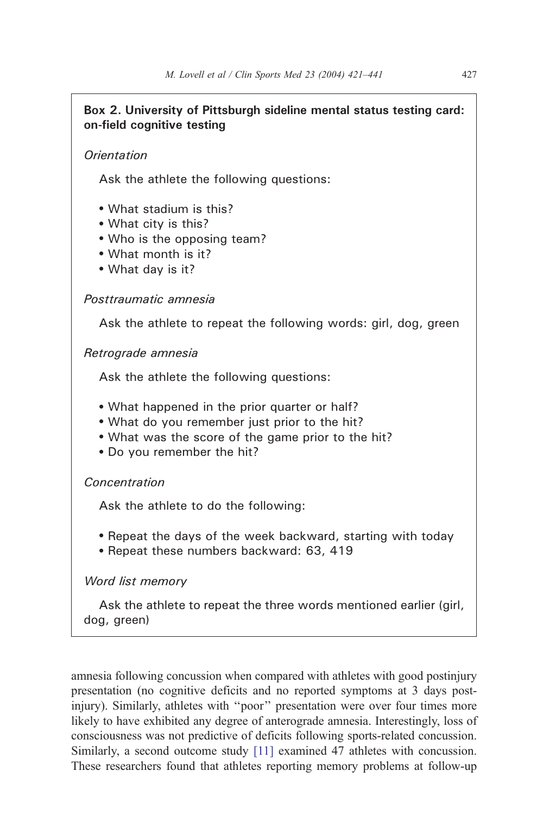# <span id="page-6-0"></span>Box 2. University of Pittsburgh sideline mental status testing card: on-field cognitive testing

### **Orientation**

Ask the athlete the following questions:

- What stadium is this?
- What city is this?
- Who is the opposing team?
- What month is it?
- What day is it?

#### Posttraumatic amnesia

Ask the athlete to repeat the following words: girl, dog, green

#### Retrograde amnesia

Ask the athlete the following questions:

- What happened in the prior quarter or half?
- What do you remember just prior to the hit?
- What was the score of the game prior to the hit?
- Do you remember the hit?

# Concentration

Ask the athlete to do the following:

- Repeat the days of the week backward, starting with today
- Repeat these numbers backward: 63, 419

# Word list memory

Ask the athlete to repeat the three words mentioned earlier (girl, dog, green)

amnesia following concussion when compared with athletes with good postinjury presentation (no cognitive deficits and no reported symptoms at 3 days postinjury). Similarly, athletes with ''poor'' presentation were over four times more likely to have exhibited any degree of anterograde amnesia. Interestingly, loss of consciousness was not predictive of deficits following sports-related concussion. Similarly, a second outcome study [\[11\]](#page-19-0) examined 47 athletes with concussion. These researchers found that athletes reporting memory problems at follow-up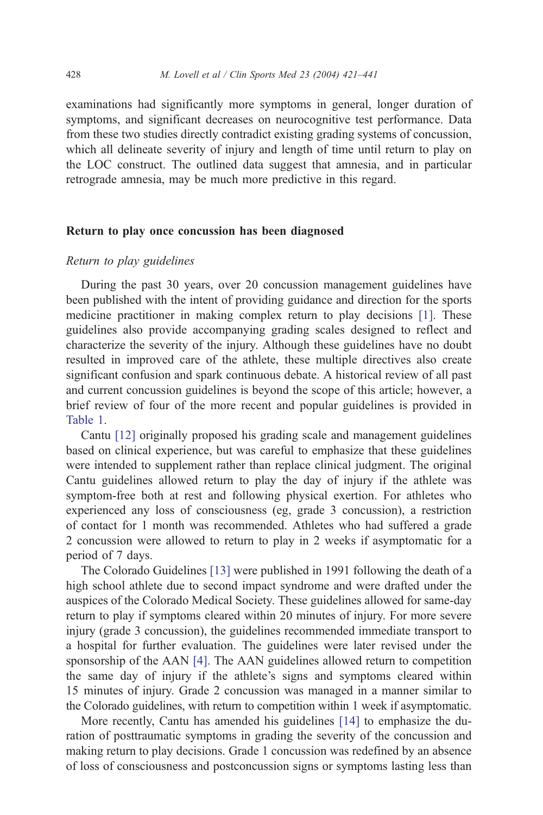examinations had significantly more symptoms in general, longer duration of symptoms, and significant decreases on neurocognitive test performance. Data from these two studies directly contradict existing grading systems of concussion, which all delineate severity of injury and length of time until return to play on the LOC construct. The outlined data suggest that amnesia, and in particular retrograde amnesia, may be much more predictive in this regard.

#### Return to play once concussion has been diagnosed

#### Return to play guidelines

During the past 30 years, over 20 concussion management guidelines have been published with the intent of providing guidance and direction for the sports medicine practitioner in making complex return to play decisions [\[1\].](#page-19-0) These guidelines also provide accompanying grading scales designed to reflect and characterize the severity of the injury. Although these guidelines have no doubt resulted in improved care of the athlete, these multiple directives also create significant confusion and spark continuous debate. A historical review of all past and current concussion guidelines is beyond the scope of this article; however, a brief review of four of the more recent and popular guidelines is provided in [Table 1.](#page-8-0)

Cantu [\[12\]](#page-19-0) originally proposed his grading scale and management guidelines based on clinical experience, but was careful to emphasize that these guidelines were intended to supplement rather than replace clinical judgment. The original Cantu guidelines allowed return to play the day of injury if the athlete was symptom-free both at rest and following physical exertion. For athletes who experienced any loss of consciousness (eg, grade 3 concussion), a restriction of contact for 1 month was recommended. Athletes who had suffered a grade 2 concussion were allowed to return to play in 2 weeks if asymptomatic for a period of 7 days.

The Colorado Guidelines [\[13\]](#page-19-0) were published in 1991 following the death of a high school athlete due to second impact syndrome and were drafted under the auspices of the Colorado Medical Society. These guidelines allowed for same-day return to play if symptoms cleared within 20 minutes of injury. For more severe injury (grade 3 concussion), the guidelines recommended immediate transport to a hospital for further evaluation. The guidelines were later revised under the sponsorship of the AAN [\[4\].](#page-19-0) The AAN guidelines allowed return to competition the same day of injury if the athlete's signs and symptoms cleared within 15 minutes of injury. Grade 2 concussion was managed in a manner similar to the Colorado guidelines, with return to competition within 1 week if asymptomatic.

More recently, Cantu has amended his guidelines [\[14\]](#page-19-0) to emphasize the duration of posttraumatic symptoms in grading the severity of the concussion and making return to play decisions. Grade 1 concussion was redefined by an absence of loss of consciousness and postconcussion signs or symptoms lasting less than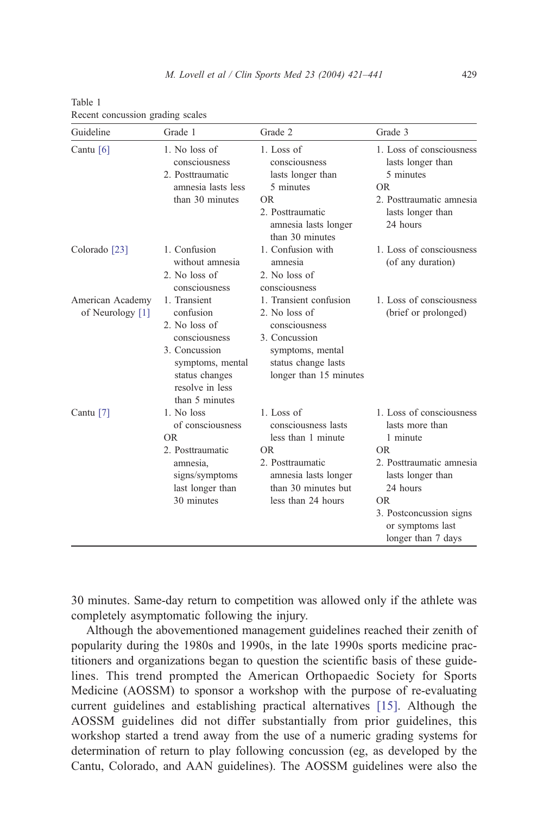| Guideline                            | Grade 1                                                                                                                                                 | Grade 2                                                                                                                                                 | Grade 3<br>1. Loss of consciousness<br>lasts longer than<br>5 minutes<br>OR.<br>2. Posttraumatic amnesia<br>lasts longer than<br>24 hours                                                                     |  |  |
|--------------------------------------|---------------------------------------------------------------------------------------------------------------------------------------------------------|---------------------------------------------------------------------------------------------------------------------------------------------------------|---------------------------------------------------------------------------------------------------------------------------------------------------------------------------------------------------------------|--|--|
| Cantu $[6]$                          | 1. No loss of<br>consciousness<br>2. Posttraumatic<br>amnesia lasts less<br>than 30 minutes                                                             | 1. Loss of<br>consciousness<br>lasts longer than<br>5 minutes<br><b>OR</b><br>2. Posttraumatic<br>amnesia lasts longer<br>than 30 minutes               |                                                                                                                                                                                                               |  |  |
| Colorado [23]                        | 1. Confusion<br>without amnesia<br>2. No loss of<br>consciousness                                                                                       | 1. Confusion with<br>amnesia<br>2. No loss of<br>consciousness                                                                                          | 1. Loss of consciousness<br>(of any duration)                                                                                                                                                                 |  |  |
| American Academy<br>of Neurology [1] | 1. Transient<br>confusion<br>2. No loss of<br>consciousness<br>3. Concussion<br>symptoms, mental<br>status changes<br>resolve in less<br>than 5 minutes | 1. Transient confusion<br>2. No loss of<br>consciousness<br>3. Concussion<br>symptoms, mental<br>status change lasts<br>longer than 15 minutes          | 1. Loss of consciousness<br>(brief or prolonged)                                                                                                                                                              |  |  |
| Cantu <sup>[7]</sup>                 | 1. No loss<br>of consciousness<br><b>OR</b><br>2. Posttraumatic<br>amnesia,<br>signs/symptoms<br>last longer than<br>30 minutes                         | 1. Loss of<br>consciousness lasts<br>less than 1 minute<br>OR.<br>2. Posttraumatic<br>amnesia lasts longer<br>than 30 minutes but<br>less than 24 hours | 1. Loss of consciousness<br>lasts more than<br>1 minute<br><b>OR</b><br>2. Posttraumatic amnesia<br>lasts longer than<br>24 hours<br>OR.<br>3. Postconcussion signs<br>or symptoms last<br>longer than 7 days |  |  |

<span id="page-8-0"></span>Table 1 Recent concussion grading scales

30 minutes. Same-day return to competition was allowed only if the athlete was completely asymptomatic following the injury.

Although the abovementioned management guidelines reached their zenith of popularity during the 1980s and 1990s, in the late 1990s sports medicine practitioners and organizations began to question the scientific basis of these guidelines. This trend prompted the American Orthopaedic Society for Sports Medicine (AOSSM) to sponsor a workshop with the purpose of re-evaluating current guidelines and establishing practical alternatives [\[15\].](#page-19-0) Although the AOSSM guidelines did not differ substantially from prior guidelines, this workshop started a trend away from the use of a numeric grading systems for determination of return to play following concussion (eg, as developed by the Cantu, Colorado, and AAN guidelines). The AOSSM guidelines were also the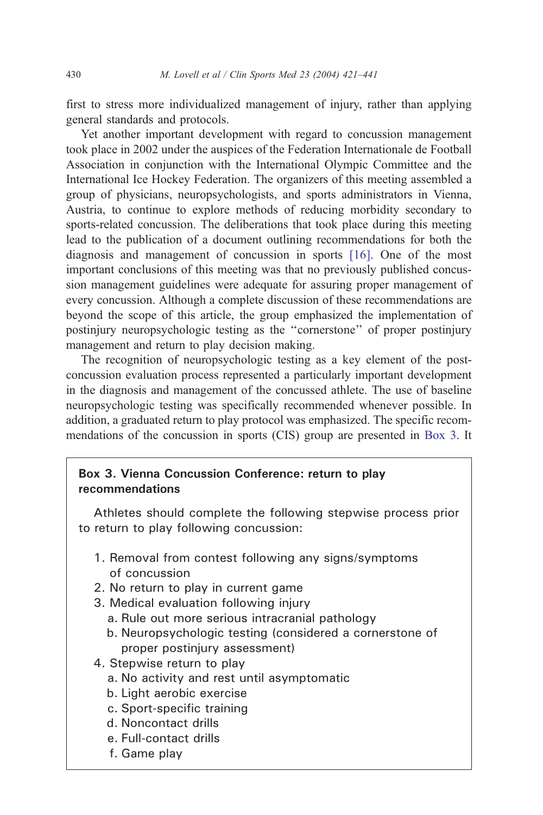first to stress more individualized management of injury, rather than applying general standards and protocols.

Yet another important development with regard to concussion management took place in 2002 under the auspices of the Federation Internationale de Football Association in conjunction with the International Olympic Committee and the International Ice Hockey Federation. The organizers of this meeting assembled a group of physicians, neuropsychologists, and sports administrators in Vienna, Austria, to continue to explore methods of reducing morbidity secondary to sports-related concussion. The deliberations that took place during this meeting lead to the publication of a document outlining recommendations for both the diagnosis and management of concussion in sports [\[16\].](#page-20-0) One of the most important conclusions of this meeting was that no previously published concussion management guidelines were adequate for assuring proper management of every concussion. Although a complete discussion of these recommendations are beyond the scope of this article, the group emphasized the implementation of postinjury neuropsychologic testing as the ''cornerstone'' of proper postinjury management and return to play decision making.

The recognition of neuropsychologic testing as a key element of the postconcussion evaluation process represented a particularly important development in the diagnosis and management of the concussed athlete. The use of baseline neuropsychologic testing was specifically recommended whenever possible. In addition, a graduated return to play protocol was emphasized. The specific recommendations of the concussion in sports (CIS) group are presented in Box 3. It

# Box 3. Vienna Concussion Conference: return to play recommendations

Athletes should complete the following stepwise process prior to return to play following concussion:

- 1. Removal from contest following any signs/symptoms of concussion
- 2. No return to play in current game
- 3. Medical evaluation following injury
	- a. Rule out more serious intracranial pathology
	- b. Neuropsychologic testing (considered a cornerstone of proper postinjury assessment)
- 4. Stepwise return to play
	- a. No activity and rest until asymptomatic
	- b. Light aerobic exercise
	- c. Sport-specific training
	- d. Noncontact drills
	- e. Full-contact drills
	- f. Game play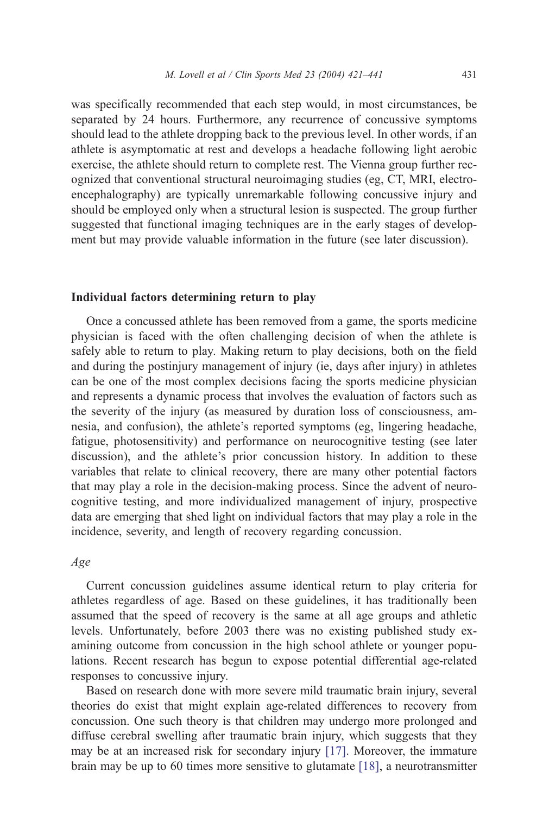was specifically recommended that each step would, in most circumstances, be separated by 24 hours. Furthermore, any recurrence of concussive symptoms should lead to the athlete dropping back to the previous level. In other words, if an athlete is asymptomatic at rest and develops a headache following light aerobic exercise, the athlete should return to complete rest. The Vienna group further recognized that conventional structural neuroimaging studies (eg, CT, MRI, electroencephalography) are typically unremarkable following concussive injury and should be employed only when a structural lesion is suspected. The group further suggested that functional imaging techniques are in the early stages of development but may provide valuable information in the future (see later discussion).

#### Individual factors determining return to play

Once a concussed athlete has been removed from a game, the sports medicine physician is faced with the often challenging decision of when the athlete is safely able to return to play. Making return to play decisions, both on the field and during the postinjury management of injury (ie, days after injury) in athletes can be one of the most complex decisions facing the sports medicine physician and represents a dynamic process that involves the evaluation of factors such as the severity of the injury (as measured by duration loss of consciousness, amnesia, and confusion), the athlete's reported symptoms (eg, lingering headache, fatigue, photosensitivity) and performance on neurocognitive testing (see later discussion), and the athlete's prior concussion history. In addition to these variables that relate to clinical recovery, there are many other potential factors that may play a role in the decision-making process. Since the advent of neurocognitive testing, and more individualized management of injury, prospective data are emerging that shed light on individual factors that may play a role in the incidence, severity, and length of recovery regarding concussion.

#### Age

Current concussion guidelines assume identical return to play criteria for athletes regardless of age. Based on these guidelines, it has traditionally been assumed that the speed of recovery is the same at all age groups and athletic levels. Unfortunately, before 2003 there was no existing published study examining outcome from concussion in the high school athlete or younger populations. Recent research has begun to expose potential differential age-related responses to concussive injury.

Based on research done with more severe mild traumatic brain injury, several theories do exist that might explain age-related differences to recovery from concussion. One such theory is that children may undergo more prolonged and diffuse cerebral swelling after traumatic brain injury, which suggests that they may be at an increased risk for secondary injury [\[17\].](#page-20-0) Moreover, the immature brain may be up to 60 times more sensitive to glutamate [\[18\],](#page-20-0) a neurotransmitter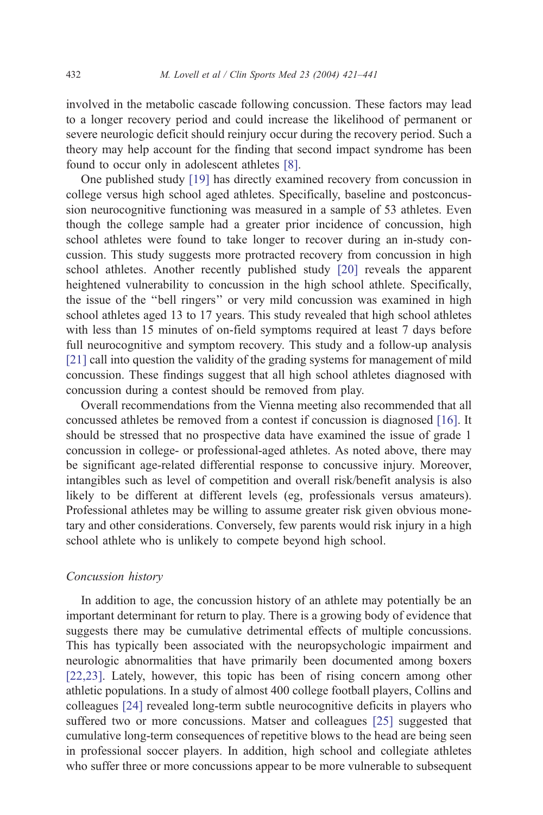involved in the metabolic cascade following concussion. These factors may lead to a longer recovery period and could increase the likelihood of permanent or severe neurologic deficit should reinjury occur during the recovery period. Such a theory may help account for the finding that second impact syndrome has been found to occur only in adolescent athletes [\[8\].](#page-19-0)

One published study [\[19\]](#page-20-0) has directly examined recovery from concussion in college versus high school aged athletes. Specifically, baseline and postconcussion neurocognitive functioning was measured in a sample of 53 athletes. Even though the college sample had a greater prior incidence of concussion, high school athletes were found to take longer to recover during an in-study concussion. This study suggests more protracted recovery from concussion in high school athletes. Another recently published study [\[20\]](#page-20-0) reveals the apparent heightened vulnerability to concussion in the high school athlete. Specifically, the issue of the ''bell ringers'' or very mild concussion was examined in high school athletes aged 13 to 17 years. This study revealed that high school athletes with less than 15 minutes of on-field symptoms required at least 7 days before full neurocognitive and symptom recovery. This study and a follow-up analysis [\[21\]](#page-20-0) call into question the validity of the grading systems for management of mild concussion. These findings suggest that all high school athletes diagnosed with concussion during a contest should be removed from play.

Overall recommendations from the Vienna meeting also recommended that all concussed athletes be removed from a contest if concussion is diagnosed [\[16\].](#page-20-0) It should be stressed that no prospective data have examined the issue of grade 1 concussion in college- or professional-aged athletes. As noted above, there may be significant age-related differential response to concussive injury. Moreover, intangibles such as level of competition and overall risk/benefit analysis is also likely to be different at different levels (eg, professionals versus amateurs). Professional athletes may be willing to assume greater risk given obvious monetary and other considerations. Conversely, few parents would risk injury in a high school athlete who is unlikely to compete beyond high school.

#### Concussion history

In addition to age, the concussion history of an athlete may potentially be an important determinant for return to play. There is a growing body of evidence that suggests there may be cumulative detrimental effects of multiple concussions. This has typically been associated with the neuropsychologic impairment and neurologic abnormalities that have primarily been documented among boxers [\[22,23\].](#page-20-0) Lately, however, this topic has been of rising concern among other athletic populations. In a study of almost 400 college football players, Collins and colleagues [\[24\]](#page-20-0) revealed long-term subtle neurocognitive deficits in players who suffered two or more concussions. Matser and colleagues [\[25\]](#page-20-0) suggested that cumulative long-term consequences of repetitive blows to the head are being seen in professional soccer players. In addition, high school and collegiate athletes who suffer three or more concussions appear to be more vulnerable to subsequent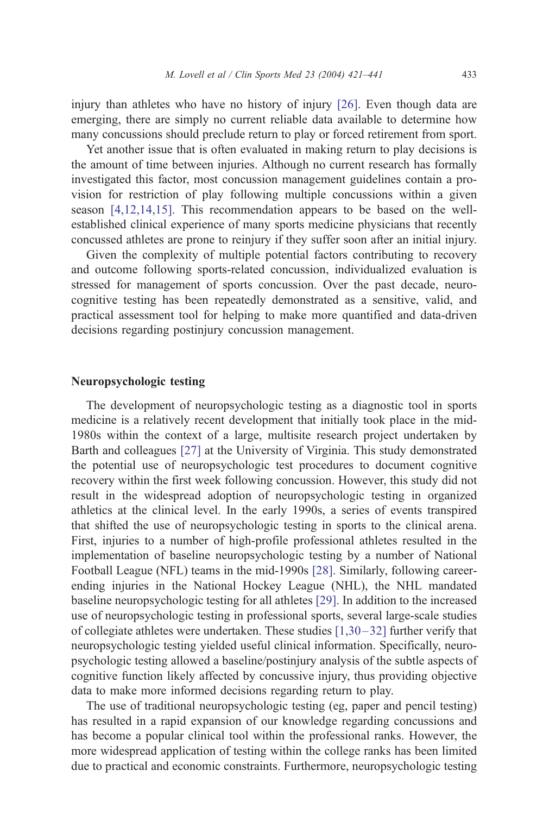injury than athletes who have no history of injury [\[26\].](#page-20-0) Even though data are emerging, there are simply no current reliable data available to determine how many concussions should preclude return to play or forced retirement from sport.

Yet another issue that is often evaluated in making return to play decisions is the amount of time between injuries. Although no current research has formally investigated this factor, most concussion management guidelines contain a provision for restriction of play following multiple concussions within a given season [\[4,12,14,15\].](#page-19-0) This recommendation appears to be based on the wellestablished clinical experience of many sports medicine physicians that recently concussed athletes are prone to reinjury if they suffer soon after an initial injury.

Given the complexity of multiple potential factors contributing to recovery and outcome following sports-related concussion, individualized evaluation is stressed for management of sports concussion. Over the past decade, neurocognitive testing has been repeatedly demonstrated as a sensitive, valid, and practical assessment tool for helping to make more quantified and data-driven decisions regarding postinjury concussion management.

#### Neuropsychologic testing

The development of neuropsychologic testing as a diagnostic tool in sports medicine is a relatively recent development that initially took place in the mid-1980s within the context of a large, multisite research project undertaken by Barth and colleagues [\[27\]](#page-20-0) at the University of Virginia. This study demonstrated the potential use of neuropsychologic test procedures to document cognitive recovery within the first week following concussion. However, this study did not result in the widespread adoption of neuropsychologic testing in organized athletics at the clinical level. In the early 1990s, a series of events transpired that shifted the use of neuropsychologic testing in sports to the clinical arena. First, injuries to a number of high-profile professional athletes resulted in the implementation of baseline neuropsychologic testing by a number of National Football League (NFL) teams in the mid-1990s [\[28\].](#page-20-0) Similarly, following careerending injuries in the National Hockey League (NHL), the NHL mandated baseline neuropsychologic testing for all athletes [\[29\].](#page-20-0) In addition to the increased use of neuropsychologic testing in professional sports, several large-scale studies of collegiate athletes were undertaken. These studies [\[1,30 – 32\]](#page-19-0) further verify that neuropsychologic testing yielded useful clinical information. Specifically, neuropsychologic testing allowed a baseline/postinjury analysis of the subtle aspects of cognitive function likely affected by concussive injury, thus providing objective data to make more informed decisions regarding return to play.

The use of traditional neuropsychologic testing (eg, paper and pencil testing) has resulted in a rapid expansion of our knowledge regarding concussions and has become a popular clinical tool within the professional ranks. However, the more widespread application of testing within the college ranks has been limited due to practical and economic constraints. Furthermore, neuropsychologic testing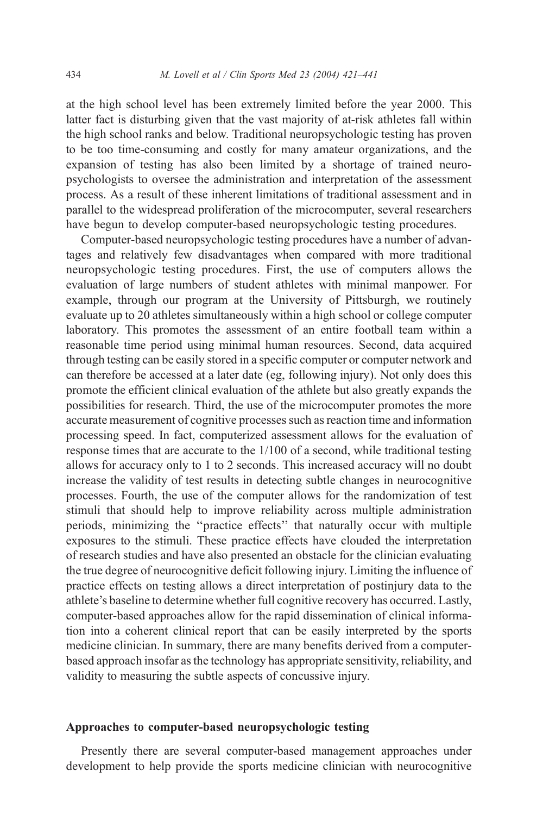at the high school level has been extremely limited before the year 2000. This latter fact is disturbing given that the vast majority of at-risk athletes fall within the high school ranks and below. Traditional neuropsychologic testing has proven to be too time-consuming and costly for many amateur organizations, and the expansion of testing has also been limited by a shortage of trained neuropsychologists to oversee the administration and interpretation of the assessment process. As a result of these inherent limitations of traditional assessment and in parallel to the widespread proliferation of the microcomputer, several researchers have begun to develop computer-based neuropsychologic testing procedures.

Computer-based neuropsychologic testing procedures have a number of advantages and relatively few disadvantages when compared with more traditional neuropsychologic testing procedures. First, the use of computers allows the evaluation of large numbers of student athletes with minimal manpower. For example, through our program at the University of Pittsburgh, we routinely evaluate up to 20 athletes simultaneously within a high school or college computer laboratory. This promotes the assessment of an entire football team within a reasonable time period using minimal human resources. Second, data acquired through testing can be easily stored in a specific computer or computer network and can therefore be accessed at a later date (eg, following injury). Not only does this promote the efficient clinical evaluation of the athlete but also greatly expands the possibilities for research. Third, the use of the microcomputer promotes the more accurate measurement of cognitive processes such as reaction time and information processing speed. In fact, computerized assessment allows for the evaluation of response times that are accurate to the 1/100 of a second, while traditional testing allows for accuracy only to 1 to 2 seconds. This increased accuracy will no doubt increase the validity of test results in detecting subtle changes in neurocognitive processes. Fourth, the use of the computer allows for the randomization of test stimuli that should help to improve reliability across multiple administration periods, minimizing the ''practice effects'' that naturally occur with multiple exposures to the stimuli. These practice effects have clouded the interpretation of research studies and have also presented an obstacle for the clinician evaluating the true degree of neurocognitive deficit following injury. Limiting the influence of practice effects on testing allows a direct interpretation of postinjury data to the athlete's baseline to determine whether full cognitive recovery has occurred. Lastly, computer-based approaches allow for the rapid dissemination of clinical information into a coherent clinical report that can be easily interpreted by the sports medicine clinician. In summary, there are many benefits derived from a computerbased approach insofar as the technology has appropriate sensitivity, reliability, and validity to measuring the subtle aspects of concussive injury.

#### Approaches to computer-based neuropsychologic testing

Presently there are several computer-based management approaches under development to help provide the sports medicine clinician with neurocognitive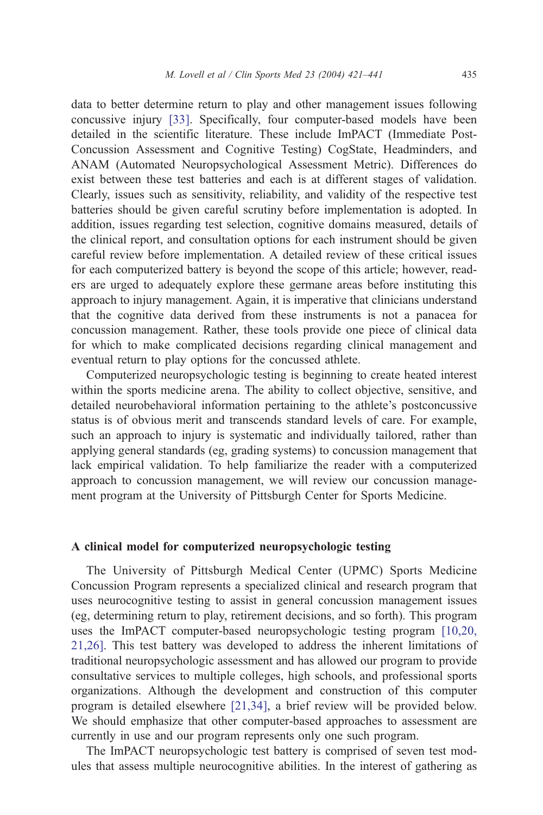data to better determine return to play and other management issues following concussive injury [\[33\].](#page-20-0) Specifically, four computer-based models have been detailed in the scientific literature. These include ImPACT (Immediate Post-Concussion Assessment and Cognitive Testing) CogState, Headminders, and ANAM (Automated Neuropsychological Assessment Metric). Differences do exist between these test batteries and each is at different stages of validation. Clearly, issues such as sensitivity, reliability, and validity of the respective test batteries should be given careful scrutiny before implementation is adopted. In addition, issues regarding test selection, cognitive domains measured, details of the clinical report, and consultation options for each instrument should be given careful review before implementation. A detailed review of these critical issues for each computerized battery is beyond the scope of this article; however, readers are urged to adequately explore these germane areas before instituting this approach to injury management. Again, it is imperative that clinicians understand that the cognitive data derived from these instruments is not a panacea for concussion management. Rather, these tools provide one piece of clinical data for which to make complicated decisions regarding clinical management and eventual return to play options for the concussed athlete.

Computerized neuropsychologic testing is beginning to create heated interest within the sports medicine arena. The ability to collect objective, sensitive, and detailed neurobehavioral information pertaining to the athlete's postconcussive status is of obvious merit and transcends standard levels of care. For example, such an approach to injury is systematic and individually tailored, rather than applying general standards (eg, grading systems) to concussion management that lack empirical validation. To help familiarize the reader with a computerized approach to concussion management, we will review our concussion management program at the University of Pittsburgh Center for Sports Medicine.

#### A clinical model for computerized neuropsychologic testing

The University of Pittsburgh Medical Center (UPMC) Sports Medicine Concussion Program represents a specialized clinical and research program that uses neurocognitive testing to assist in general concussion management issues (eg, determining return to play, retirement decisions, and so forth). This program uses the ImPACT computer-based neuropsychologic testing program [\[10,20,](#page-19-0) 21,26]. This test battery was developed to address the inherent limitations of traditional neuropsychologic assessment and has allowed our program to provide consultative services to multiple colleges, high schools, and professional sports organizations. Although the development and construction of this computer program is detailed elsewhere [\[21,34\],](#page-20-0) a brief review will be provided below. We should emphasize that other computer-based approaches to assessment are currently in use and our program represents only one such program.

The ImPACT neuropsychologic test battery is comprised of seven test modules that assess multiple neurocognitive abilities. In the interest of gathering as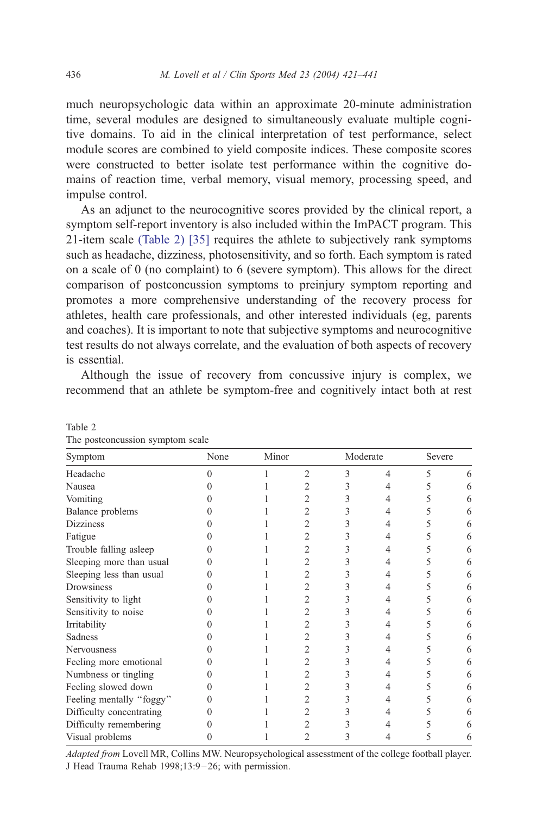much neuropsychologic data within an approximate 20-minute administration time, several modules are designed to simultaneously evaluate multiple cognitive domains. To aid in the clinical interpretation of test performance, select module scores are combined to yield composite indices. These composite scores were constructed to better isolate test performance within the cognitive domains of reaction time, verbal memory, visual memory, processing speed, and impulse control.

As an adjunct to the neurocognitive scores provided by the clinical report, a symptom self-report inventory is also included within the ImPACT program. This 21-item scale (Table 2) [\[35\]](#page-20-0) requires the athlete to subjectively rank symptoms such as headache, dizziness, photosensitivity, and so forth. Each symptom is rated on a scale of 0 (no complaint) to 6 (severe symptom). This allows for the direct comparison of postconcussion symptoms to preinjury symptom reporting and promotes a more comprehensive understanding of the recovery process for athletes, health care professionals, and other interested individuals (eg, parents and coaches). It is important to note that subjective symptoms and neurocognitive test results do not always correlate, and the evaluation of both aspects of recovery is essential.

Although the issue of recovery from concussive injury is complex, we recommend that an athlete be symptom-free and cognitively intact both at rest

| The postconcussion symptom scale |           |       |                |          |   |        |  |  |  |  |
|----------------------------------|-----------|-------|----------------|----------|---|--------|--|--|--|--|
| Symptom<br>Headache              | None<br>0 | Minor |                | Moderate |   | Severe |  |  |  |  |
|                                  |           |       | $\overline{c}$ | 3        | 4 | 5      |  |  |  |  |
| Nausea                           |           |       | 2              |          | 4 |        |  |  |  |  |
| Vomiting                         |           |       |                |          | 4 |        |  |  |  |  |
| Balance problems                 |           |       |                |          | 4 |        |  |  |  |  |
| <b>Dizziness</b>                 |           |       |                |          | 4 |        |  |  |  |  |
| Fatigue                          |           |       | 2              |          | 4 |        |  |  |  |  |
| Trouble falling asleep           |           |       | 2              | 3        | 4 |        |  |  |  |  |
| Sleeping more than usual         |           |       | 2              |          |   |        |  |  |  |  |
| Sleeping less than usual         |           |       |                | 3        | 4 | 7      |  |  |  |  |
| Drowsiness                       |           |       |                | 3        |   | 7      |  |  |  |  |
| Sensitivity to light             |           |       |                | 3        | 4 | 5      |  |  |  |  |
| Sensitivity to noise             |           |       | 2              | 3        | 4 | 5      |  |  |  |  |
| Irritability                     |           |       | 2              | 3        | 4 | 5      |  |  |  |  |
| Sadness                          |           |       | 2              |          | 4 |        |  |  |  |  |
| <b>Nervousness</b>               |           |       | 2              | 3        | 4 | 5      |  |  |  |  |
| Feeling more emotional           |           |       | 2              | 3        | 4 |        |  |  |  |  |
| Numbness or tingling             |           |       | 2              |          | 4 | 5      |  |  |  |  |
| Feeling slowed down              |           |       | 2              |          | 4 |        |  |  |  |  |
| Feeling mentally "foggy"         |           |       |                |          | 4 |        |  |  |  |  |
| Difficulty concentrating         |           |       |                |          | 4 |        |  |  |  |  |
| Difficulty remembering           |           |       |                |          |   |        |  |  |  |  |
| Visual problems                  |           |       |                | 3        | 4 |        |  |  |  |  |

Table 2 The postconcussion symptom scale

Adapted from Lovell MR, Collins MW. Neuropsychological assesstment of the college football player. J Head Trauma Rehab 1998;13:9 – 26; with permission.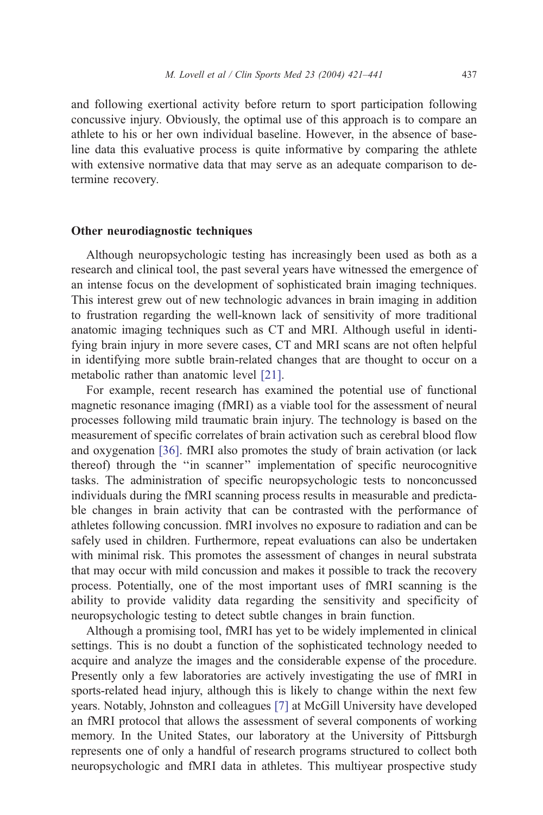and following exertional activity before return to sport participation following concussive injury. Obviously, the optimal use of this approach is to compare an athlete to his or her own individual baseline. However, in the absence of baseline data this evaluative process is quite informative by comparing the athlete with extensive normative data that may serve as an adequate comparison to determine recovery.

#### Other neurodiagnostic techniques

Although neuropsychologic testing has increasingly been used as both as a research and clinical tool, the past several years have witnessed the emergence of an intense focus on the development of sophisticated brain imaging techniques. This interest grew out of new technologic advances in brain imaging in addition to frustration regarding the well-known lack of sensitivity of more traditional anatomic imaging techniques such as CT and MRI. Although useful in identifying brain injury in more severe cases, CT and MRI scans are not often helpful in identifying more subtle brain-related changes that are thought to occur on a metabolic rather than anatomic level [\[21\].](#page-20-0)

For example, recent research has examined the potential use of functional magnetic resonance imaging (fMRI) as a viable tool for the assessment of neural processes following mild traumatic brain injury. The technology is based on the measurement of specific correlates of brain activation such as cerebral blood flow and oxygenation [\[36\].](#page-20-0) fMRI also promotes the study of brain activation (or lack thereof) through the ''in scanner'' implementation of specific neurocognitive tasks. The administration of specific neuropsychologic tests to nonconcussed individuals during the fMRI scanning process results in measurable and predictable changes in brain activity that can be contrasted with the performance of athletes following concussion. fMRI involves no exposure to radiation and can be safely used in children. Furthermore, repeat evaluations can also be undertaken with minimal risk. This promotes the assessment of changes in neural substrata that may occur with mild concussion and makes it possible to track the recovery process. Potentially, one of the most important uses of fMRI scanning is the ability to provide validity data regarding the sensitivity and specificity of neuropsychologic testing to detect subtle changes in brain function.

Although a promising tool, fMRI has yet to be widely implemented in clinical settings. This is no doubt a function of the sophisticated technology needed to acquire and analyze the images and the considerable expense of the procedure. Presently only a few laboratories are actively investigating the use of fMRI in sports-related head injury, although this is likely to change within the next few years. Notably, Johnston and colleagues [\[7\]](#page-19-0) at McGill University have developed an fMRI protocol that allows the assessment of several components of working memory. In the United States, our laboratory at the University of Pittsburgh represents one of only a handful of research programs structured to collect both neuropsychologic and fMRI data in athletes. This multiyear prospective study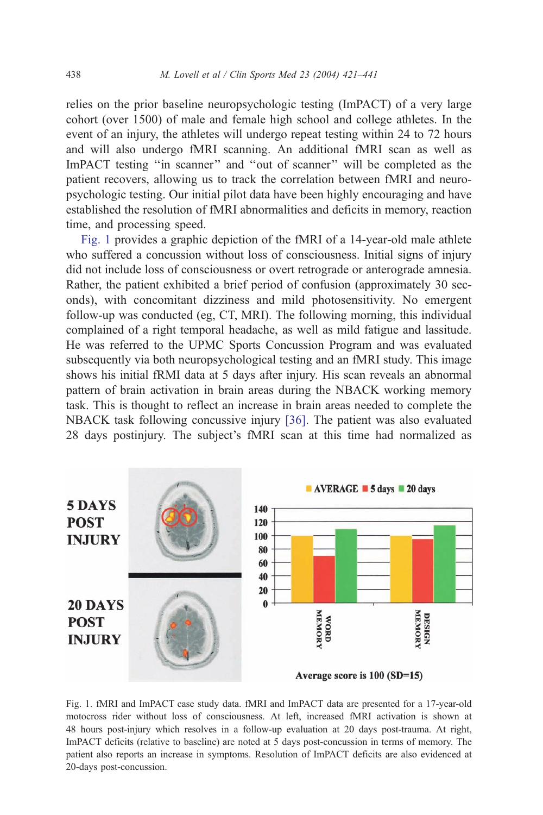relies on the prior baseline neuropsychologic testing (ImPACT) of a very large cohort (over 1500) of male and female high school and college athletes. In the event of an injury, the athletes will undergo repeat testing within 24 to 72 hours and will also undergo fMRI scanning. An additional fMRI scan as well as ImPACT testing "in scanner" and "out of scanner" will be completed as the patient recovers, allowing us to track the correlation between fMRI and neuropsychologic testing. Our initial pilot data have been highly encouraging and have established the resolution of fMRI abnormalities and deficits in memory, reaction time, and processing speed.

Fig. 1 provides a graphic depiction of the fMRI of a 14-year-old male athlete who suffered a concussion without loss of consciousness. Initial signs of injury did not include loss of consciousness or overt retrograde or anterograde amnesia. Rather, the patient exhibited a brief period of confusion (approximately 30 seconds), with concomitant dizziness and mild photosensitivity. No emergent follow-up was conducted (eg, CT, MRI). The following morning, this individual complained of a right temporal headache, as well as mild fatigue and lassitude. He was referred to the UPMC Sports Concussion Program and was evaluated subsequently via both neuropsychological testing and an fMRI study. This image shows his initial fRMI data at 5 days after injury. His scan reveals an abnormal pattern of brain activation in brain areas during the NBACK working memory task. This is thought to reflect an increase in brain areas needed to complete the NBACK task following concussive injury [\[36\].](#page-20-0) The patient was also evaluated 28 days postinjury. The subject's fMRI scan at this time had normalized as



Fig. 1. fMRI and ImPACT case study data. fMRI and ImPACT data are presented for a 17-year-old motocross rider without loss of consciousness. At left, increased fMRI activation is shown at 48 hours post-injury which resolves in a follow-up evaluation at 20 days post-trauma. At right, ImPACT deficits (relative to baseline) are noted at 5 days post-concussion in terms of memory. The patient also reports an increase in symptoms. Resolution of ImPACT deficits are also evidenced at 20-days post-concussion.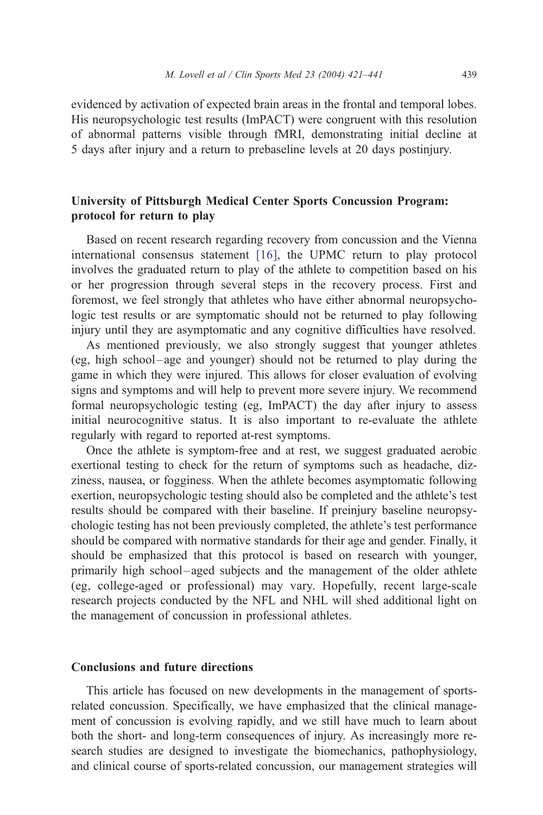evidenced by activation of expected brain areas in the frontal and temporal lobes. His neuropsychologic test results (ImPACT) were congruent with this resolution of abnormal patterns visible through fMRI, demonstrating initial decline at 5 days after injury and a return to prebaseline levels at 20 days postinjury.

# University of Pittsburgh Medical Center Sports Concussion Program: protocol for return to play

Based on recent research regarding recovery from concussion and the Vienna international consensus statement [\[16\],](#page-20-0) the UPMC return to play protocol involves the graduated return to play of the athlete to competition based on his or her progression through several steps in the recovery process. First and foremost, we feel strongly that athletes who have either abnormal neuropsychologic test results or are symptomatic should not be returned to play following injury until they are asymptomatic and any cognitive difficulties have resolved.

As mentioned previously, we also strongly suggest that younger athletes (eg, high school –age and younger) should not be returned to play during the game in which they were injured. This allows for closer evaluation of evolving signs and symptoms and will help to prevent more severe injury. We recommend formal neuropsychologic testing (eg, ImPACT) the day after injury to assess initial neurocognitive status. It is also important to re-evaluate the athlete regularly with regard to reported at-rest symptoms.

Once the athlete is symptom-free and at rest, we suggest graduated aerobic exertional testing to check for the return of symptoms such as headache, dizziness, nausea, or fogginess. When the athlete becomes asymptomatic following exertion, neuropsychologic testing should also be completed and the athlete's test results should be compared with their baseline. If preinjury baseline neuropsychologic testing has not been previously completed, the athlete's test performance should be compared with normative standards for their age and gender. Finally, it should be emphasized that this protocol is based on research with younger, primarily high school –aged subjects and the management of the older athlete (eg, college-aged or professional) may vary. Hopefully, recent large-scale research projects conducted by the NFL and NHL will shed additional light on the management of concussion in professional athletes.

#### Conclusions and future directions

This article has focused on new developments in the management of sportsrelated concussion. Specifically, we have emphasized that the clinical management of concussion is evolving rapidly, and we still have much to learn about both the short- and long-term consequences of injury. As increasingly more research studies are designed to investigate the biomechanics, pathophysiology, and clinical course of sports-related concussion, our management strategies will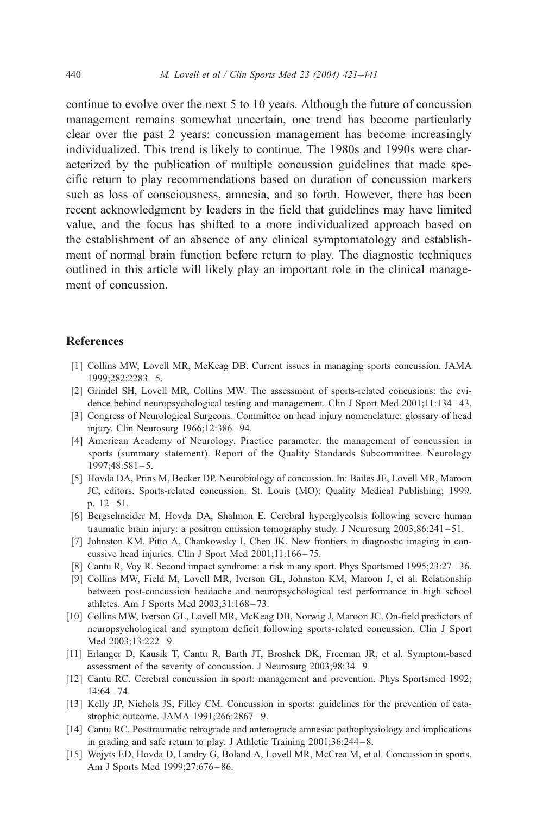<span id="page-19-0"></span>continue to evolve over the next 5 to 10 years. Although the future of concussion management remains somewhat uncertain, one trend has become particularly clear over the past 2 years: concussion management has become increasingly individualized. This trend is likely to continue. The 1980s and 1990s were characterized by the publication of multiple concussion guidelines that made specific return to play recommendations based on duration of concussion markers such as loss of consciousness, amnesia, and so forth. However, there has been recent acknowledgment by leaders in the field that guidelines may have limited value, and the focus has shifted to a more individualized approach based on the establishment of an absence of any clinical symptomatology and establishment of normal brain function before return to play. The diagnostic techniques outlined in this article will likely play an important role in the clinical management of concussion.

#### References

- [1] Collins MW, Lovell MR, McKeag DB. Current issues in managing sports concussion. JAMA 1999;282:2283 – 5.
- [2] Grindel SH, Lovell MR, Collins MW. The assessment of sports-related concusions: the evidence behind neuropsychological testing and management. Clin J Sport Med 2001;11:134-43.
- [3] Congress of Neurological Surgeons. Committee on head injury nomenclature: glossary of head injury. Clin Neurosurg 1966;12:386 – 94.
- [4] American Academy of Neurology. Practice parameter: the management of concussion in sports (summary statement). Report of the Quality Standards Subcommittee. Neurology  $1997;48:581-5.$
- [5] Hovda DA, Prins M, Becker DP. Neurobiology of concussion. In: Bailes JE, Lovell MR, Maroon JC, editors. Sports-related concussion. St. Louis (MO): Quality Medical Publishing; 1999. p. 12 – 51.
- [6] Bergschneider M, Hovda DA, Shalmon E. Cerebral hyperglycolsis following severe human traumatic brain injury: a positron emission tomography study. J Neurosurg 2003;86:241 – 51.
- [7] Johnston KM, Pitto A, Chankowsky I, Chen JK. New frontiers in diagnostic imaging in concussive head injuries. Clin J Sport Med 2001;11:166 – 75.
- [8] Cantu R, Voy R. Second impact syndrome: a risk in any sport. Phys Sportsmed 1995;23:27 36.
- [9] Collins MW, Field M, Lovell MR, Iverson GL, Johnston KM, Maroon J, et al. Relationship between post-concussion headache and neuropsychological test performance in high school athletes. Am J Sports Med 2003;31:168 – 73.
- [10] Collins MW, Iverson GL, Lovell MR, McKeag DB, Norwig J, Maroon JC. On-field predictors of neuropsychological and symptom deficit following sports-related concussion. Clin J Sport Med 2003;13:222-9.
- [11] Erlanger D, Kausik T, Cantu R, Barth JT, Broshek DK, Freeman JR, et al. Symptom-based assessment of the severity of concussion. J Neurosurg 2003;98:34 – 9.
- [12] Cantu RC. Cerebral concussion in sport: management and prevention. Phys Sportsmed 1992;  $14:64 - 74.$
- [13] Kelly JP, Nichols JS, Filley CM. Concussion in sports: guidelines for the prevention of catastrophic outcome. JAMA 1991;266:2867 – 9.
- [14] Cantu RC. Posttraumatic retrograde and anterograde amnesia: pathophysiology and implications in grading and safe return to play. J Athletic Training 2001;36:244 – 8.
- [15] Wojyts ED, Hovda D, Landry G, Boland A, Lovell MR, McCrea M, et al. Concussion in sports. Am J Sports Med 1999;27:676-86.